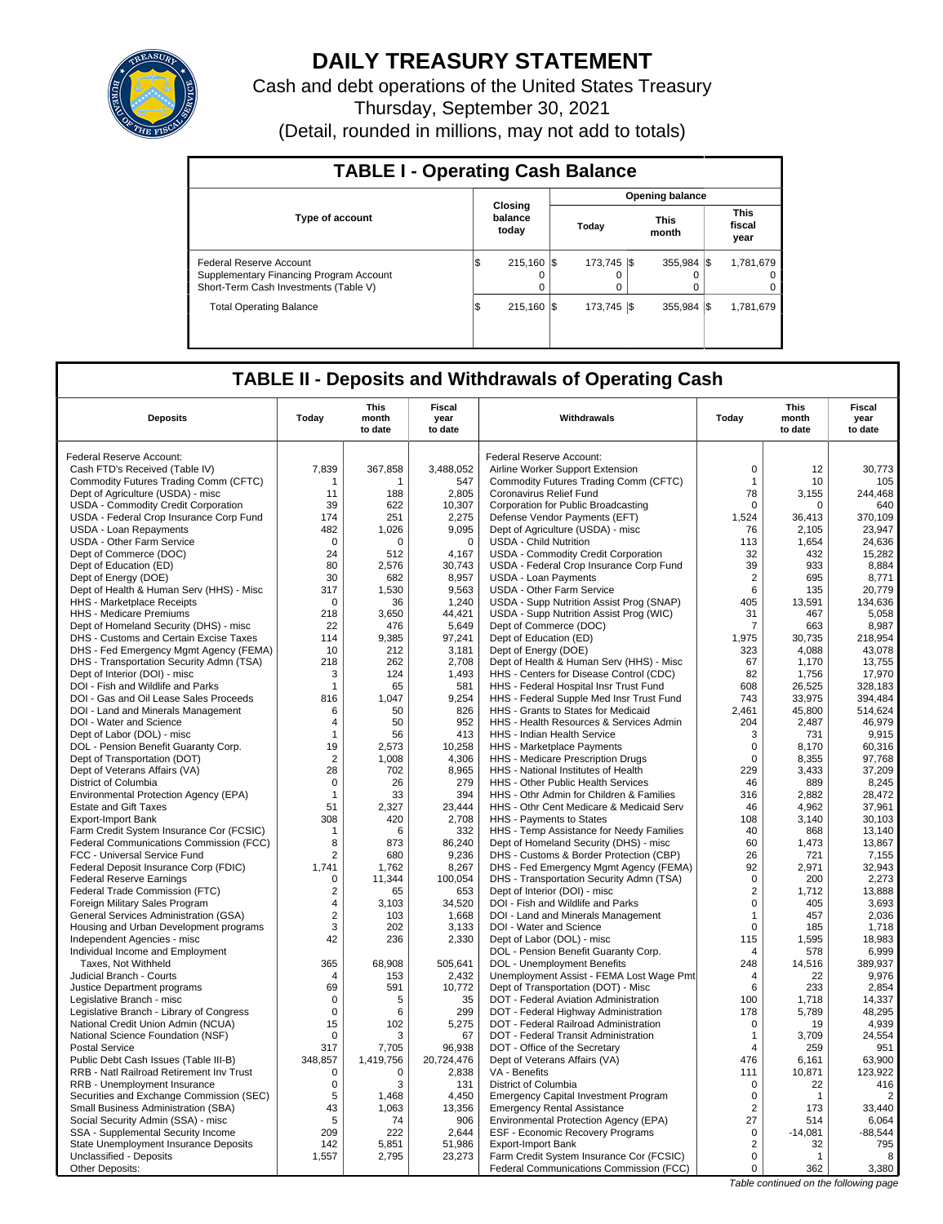

# **DAILY TREASURY STATEMENT**

Cash and debt operations of the United States Treasury Thursday, September 30, 2021 (Detail, rounded in millions, may not add to totals)

| <b>TABLE I - Operating Cash Balance</b>                                                                     |                             |   |  |                         |  |                            |  |                               |  |
|-------------------------------------------------------------------------------------------------------------|-----------------------------|---|--|-------------------------|--|----------------------------|--|-------------------------------|--|
|                                                                                                             |                             |   |  |                         |  | <b>Opening balance</b>     |  |                               |  |
| <b>Type of account</b>                                                                                      | Closing<br>balance<br>today |   |  | Today                   |  | <b>This</b><br>month       |  | <b>This</b><br>fiscal<br>year |  |
| Federal Reserve Account<br>Supplementary Financing Program Account<br>Short-Term Cash Investments (Table V) | 215.160 \\$<br>I\$          | 0 |  | 173.745 \\$<br>$\Omega$ |  | $355.984$ $\sqrt{\$}$<br>0 |  | 1.781.679<br>$^{\circ}$<br>0  |  |
| <b>Total Operating Balance</b>                                                                              | 215.160 \\$<br>1\$          |   |  | 173.745   \$            |  | $355.984$ $\frac{1}{3}$    |  | 1,781,679                     |  |

## **TABLE II - Deposits and Withdrawals of Operating Cash**

| <b>Deposits</b>                                                                | Today                  | This<br>month<br>to date | Fiscal<br>year<br>to date | Withdrawals                                                                       | Todav             | This<br>month<br>to date | Fiscal<br>year<br>to date |
|--------------------------------------------------------------------------------|------------------------|--------------------------|---------------------------|-----------------------------------------------------------------------------------|-------------------|--------------------------|---------------------------|
|                                                                                |                        |                          |                           |                                                                                   |                   |                          |                           |
| Federal Reserve Account:                                                       |                        |                          |                           | Federal Reserve Account:                                                          |                   |                          |                           |
| Cash FTD's Received (Table IV)                                                 | 7,839                  | 367,858                  | 3,488,052                 | Airline Worker Support Extension                                                  | $\mathbf 0$       | 12                       | 30,773                    |
| Commodity Futures Trading Comm (CFTC)                                          | -1                     | 1                        | 547                       | Commodity Futures Trading Comm (CFTC)                                             | $\mathbf{1}$      | 10                       | 105                       |
| Dept of Agriculture (USDA) - misc                                              | 11                     | 188                      | 2,805                     | Coronavirus Relief Fund                                                           | 78                | 3,155<br>$\Omega$        | 244,468                   |
| USDA - Commodity Credit Corporation<br>USDA - Federal Crop Insurance Corp Fund | 39<br>174              | 622<br>251               | 10,307<br>2,275           | Corporation for Public Broadcasting<br>Defense Vendor Payments (EFT)              | 0<br>1,524        | 36,413                   | 640<br>370,109            |
| USDA - Loan Repayments                                                         | 482                    | 1.026                    | 9.095                     | Dept of Agriculture (USDA) - misc                                                 | 76                | 2,105                    | 23,947                    |
| <b>USDA - Other Farm Service</b>                                               | 0                      | 0                        | $\mathbf 0$               | <b>USDA - Child Nutrition</b>                                                     | 113               | 1,654                    | 24,636                    |
| Dept of Commerce (DOC)                                                         | 24                     | 512                      | 4,167                     | USDA - Commodity Credit Corporation                                               | 32                | 432                      | 15,282                    |
| Dept of Education (ED)                                                         | 80                     | 2,576                    | 30,743                    | USDA - Federal Crop Insurance Corp Fund                                           | 39                | 933                      | 8,884                     |
| Dept of Energy (DOE)                                                           | 30                     | 682                      | 8,957                     | <b>USDA - Loan Payments</b>                                                       | $\overline{c}$    | 695                      | 8,771                     |
| Dept of Health & Human Serv (HHS) - Misc                                       | 317                    | 1,530                    | 9,563                     | <b>USDA - Other Farm Service</b>                                                  | 6                 | 135                      | 20,779                    |
| HHS - Marketplace Receipts                                                     | 0                      | 36                       | 1,240                     | USDA - Supp Nutrition Assist Prog (SNAP)                                          | 405               | 13.591                   | 134,636                   |
| HHS - Medicare Premiums                                                        | 218                    | 3,650                    | 44,421                    | USDA - Supp Nutrition Assist Prog (WIC)                                           | 31                | 467                      | 5,058                     |
| Dept of Homeland Security (DHS) - misc                                         | 22                     | 476                      | 5,649                     | Dept of Commerce (DOC)                                                            | 7                 | 663                      | 8,987                     |
| DHS - Customs and Certain Excise Taxes                                         | 114                    | 9,385                    | 97,241                    | Dept of Education (ED)                                                            | 1,975             | 30,735                   | 218,954                   |
| DHS - Fed Emergency Mgmt Agency (FEMA)                                         | 10                     | 212                      | 3.181                     | Dept of Energy (DOE)                                                              | 323               | 4.088                    | 43.078                    |
| DHS - Transportation Security Admn (TSA)                                       | 218                    | 262                      | 2,708                     | Dept of Health & Human Serv (HHS) - Misc                                          | 67                | 1,170                    | 13,755                    |
| Dept of Interior (DOI) - misc<br>DOI - Fish and Wildlife and Parks             | 3<br>$\mathbf{1}$      | 124<br>65                | 1.493<br>581              | HHS - Centers for Disease Control (CDC)<br>HHS - Federal Hospital Insr Trust Fund | 82<br>608         | 1.756<br>26,525          | 17.970<br>328,183         |
| DOI - Gas and Oil Lease Sales Proceeds                                         | 816                    | 1.047                    | 9.254                     | HHS - Federal Supple Med Insr Trust Fund                                          | 743               | 33,975                   | 394.484                   |
| DOI - Land and Minerals Management                                             | 6                      | 50                       | 826                       | HHS - Grants to States for Medicaid                                               | 2,461             | 45,800                   | 514,624                   |
| DOI - Water and Science                                                        | 4                      | 50                       | 952                       | HHS - Health Resources & Services Admin                                           | 204               | 2,487                    | 46,979                    |
| Dept of Labor (DOL) - misc                                                     | $\overline{1}$         | 56                       | 413                       | <b>HHS - Indian Health Service</b>                                                | 3                 | 731                      | 9,915                     |
| DOL - Pension Benefit Guaranty Corp.                                           | 19                     | 2,573                    | 10,258                    | HHS - Marketplace Payments                                                        | $\mathbf 0$       | 8.170                    | 60,316                    |
| Dept of Transportation (DOT)                                                   | $\overline{2}$         | 1,008                    | 4,306                     | HHS - Medicare Prescription Drugs                                                 | $\mathbf 0$       | 8,355                    | 97,768                    |
| Dept of Veterans Affairs (VA)                                                  | 28                     | 702                      | 8,965                     | HHS - National Institutes of Health                                               | 229               | 3,433                    | 37,209                    |
| District of Columbia                                                           | $\mathbf 0$            | 26                       | 279                       | HHS - Other Public Health Services                                                | 46                | 889                      | 8,245                     |
| Environmental Protection Agency (EPA)                                          | $\overline{1}$         | 33                       | 394                       | HHS - Othr Admin for Children & Families                                          | 316               | 2,882                    | 28,472                    |
| <b>Estate and Gift Taxes</b>                                                   | 51                     | 2,327                    | 23,444                    | HHS - Othr Cent Medicare & Medicaid Serv                                          | 46                | 4,962                    | 37,961                    |
| <b>Export-Import Bank</b>                                                      | 308                    | 420                      | 2.708                     | <b>HHS</b> - Payments to States                                                   | 108               | 3.140                    | 30.103                    |
| Farm Credit System Insurance Cor (FCSIC)                                       | $\mathbf{1}$           | 6                        | 332                       | HHS - Temp Assistance for Needy Families                                          | 40                | 868                      | 13,140                    |
| Federal Communications Commission (FCC)                                        | 8                      | 873                      | 86,240                    | Dept of Homeland Security (DHS) - misc                                            | 60                | 1.473                    | 13.867                    |
| FCC - Universal Service Fund                                                   | $\overline{2}$         | 680                      | 9,236                     | DHS - Customs & Border Protection (CBP)                                           | 26                | 721                      | 7,155                     |
| Federal Deposit Insurance Corp (FDIC)                                          | 1.741                  | 1.762                    | 8,267                     | DHS - Fed Emergency Mgmt Agency (FEMA)                                            | 92<br>$\mathbf 0$ | 2.971                    | 32.943                    |
| <b>Federal Reserve Earnings</b>                                                | 0<br>$\overline{2}$    | 11,344<br>65             | 100,054<br>653            | DHS - Transportation Security Admn (TSA)                                          | 2                 | 200                      | 2,273                     |
| Federal Trade Commission (FTC)<br>Foreign Military Sales Program               | $\overline{4}$         | 3,103                    | 34,520                    | Dept of Interior (DOI) - misc<br>DOI - Fish and Wildlife and Parks                | $\mathbf 0$       | 1,712<br>405             | 13,888<br>3,693           |
| General Services Administration (GSA)                                          | $\overline{2}$         | 103                      | 1,668                     | DOI - Land and Minerals Management                                                | $\mathbf{1}$      | 457                      | 2,036                     |
| Housing and Urban Development programs                                         | 3                      | 202                      | 3,133                     | DOI - Water and Science                                                           | $\mathbf 0$       | 185                      | 1,718                     |
| Independent Agencies - misc                                                    | 42                     | 236                      | 2,330                     | Dept of Labor (DOL) - misc                                                        | 115               | 1.595                    | 18,983                    |
| Individual Income and Employment                                               |                        |                          |                           | DOL - Pension Benefit Guaranty Corp.                                              | $\overline{4}$    | 578                      | 6,999                     |
| <b>Taxes. Not Withheld</b>                                                     | 365                    | 68.908                   | 505,641                   | DOL - Unemployment Benefits                                                       | 248               | 14.516                   | 389.937                   |
| Judicial Branch - Courts                                                       | $\overline{A}$         | 153                      | 2,432                     | Unemployment Assist - FEMA Lost Wage Pmt                                          | $\overline{4}$    | 22                       | 9,976                     |
| Justice Department programs                                                    | 69                     | 591                      | 10.772                    | Dept of Transportation (DOT) - Misc                                               | 6                 | 233                      | 2.854                     |
| Legislative Branch - misc                                                      | $\mathbf 0$            | 5                        | 35                        | DOT - Federal Aviation Administration                                             | 100               | 1,718                    | 14,337                    |
| Legislative Branch - Library of Congress                                       | $\Omega$               | 6                        | 299                       | DOT - Federal Highway Administration                                              | 178               | 5,789                    | 48.295                    |
| National Credit Union Admin (NCUA)                                             | 15                     | 102                      | 5,275                     | DOT - Federal Railroad Administration                                             | $\mathbf 0$       | 19                       | 4,939                     |
| National Science Foundation (NSF)                                              | $\Omega$               | 3                        | 67                        | DOT - Federal Transit Administration                                              | $\mathbf{1}$      | 3,709                    | 24,554                    |
| <b>Postal Service</b>                                                          | 317                    | 7,705                    | 96,938                    | DOT - Office of the Secretary                                                     | $\overline{4}$    | 259                      | 951                       |
| Public Debt Cash Issues (Table III-B)                                          | 348,857<br>$\mathbf 0$ | 1,419,756<br>$\mathbf 0$ | 20,724,476                | Dept of Veterans Affairs (VA)                                                     | 476<br>111        | 6,161                    | 63,900<br>123,922         |
| RRB - Natl Railroad Retirement Inv Trust                                       | $\mathbf 0$            | 3                        | 2,838<br>131              | VA - Benefits                                                                     | $\mathbf 0$       | 10,871<br>22             | 416                       |
| RRB - Unemployment Insurance<br>Securities and Exchange Commission (SEC)       | 5                      | 1.468                    | 4,450                     | District of Columbia<br><b>Emergency Capital Investment Program</b>               | $\Omega$          | $\mathbf{1}$             | $\overline{2}$            |
| Small Business Administration (SBA)                                            | 43                     | 1,063                    | 13,356                    | <b>Emergency Rental Assistance</b>                                                | 2                 | 173                      | 33.440                    |
| Social Security Admin (SSA) - misc                                             | 5                      | 74                       | 906                       | Environmental Protection Agency (EPA)                                             | 27                | 514                      | 6,064                     |
| SSA - Supplemental Security Income                                             | 209                    | 222                      | 2.644                     | ESF - Economic Recovery Programs                                                  | $\mathbf 0$       | $-14.081$                | $-88.544$                 |
| State Unemployment Insurance Deposits                                          | 142                    | 5,851                    | 51,986                    | <b>Export-Import Bank</b>                                                         | $\overline{2}$    | 32                       | 795                       |
| Unclassified - Deposits                                                        | 1,557                  | 2,795                    | 23,273                    | Farm Credit System Insurance Cor (FCSIC)                                          | 0                 | $\mathbf{1}$             | 8                         |
| Other Deposits:                                                                |                        |                          |                           | Federal Communications Commission (FCC)                                           | 0                 | 362                      | 3,380                     |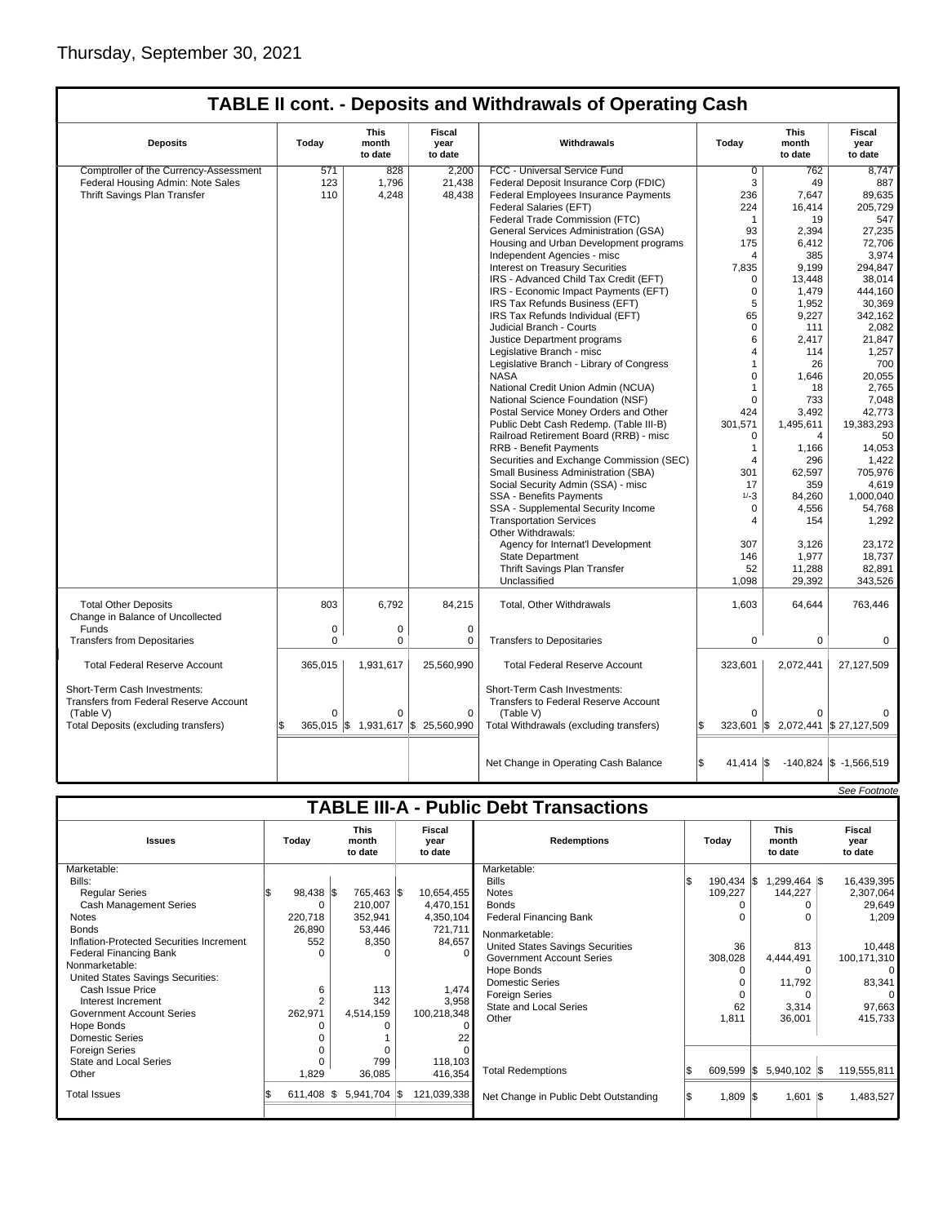| <b>Deposits</b>                                                                     | Today       | <b>This</b><br>month<br>to date | Fiscal<br>year<br>to date          | Withdrawals                                                                       | Today               | <b>This</b><br>month<br>to date    | <b>Fiscal</b><br>year<br>to date |  |
|-------------------------------------------------------------------------------------|-------------|---------------------------------|------------------------------------|-----------------------------------------------------------------------------------|---------------------|------------------------------------|----------------------------------|--|
| Comptroller of the Currency-Assessment                                              | 571         | 828                             | 2,200                              | FCC - Universal Service Fund                                                      | $\overline{0}$      | 762                                | 8,747                            |  |
| Federal Housing Admin: Note Sales                                                   | 123         | 1,796                           | 21,438                             | Federal Deposit Insurance Corp (FDIC)                                             | 3                   | 49                                 | 887                              |  |
| Thrift Savings Plan Transfer                                                        | 110         | 4,248                           | 48,438                             | Federal Employees Insurance Payments                                              | 236                 | 7,647                              | 89,635                           |  |
|                                                                                     |             |                                 |                                    | Federal Salaries (EFT)                                                            | 224                 | 16.414                             | 205.729                          |  |
|                                                                                     |             |                                 |                                    | Federal Trade Commission (FTC)                                                    | $\mathbf{1}$        | 19                                 | 547                              |  |
|                                                                                     |             |                                 |                                    | General Services Administration (GSA)                                             | 93                  | 2,394                              | 27,235                           |  |
|                                                                                     |             |                                 |                                    | Housing and Urban Development programs                                            | 175                 | 6,412                              | 72,706                           |  |
|                                                                                     |             |                                 |                                    | Independent Agencies - misc                                                       | 4                   | 385                                | 3,974                            |  |
|                                                                                     |             |                                 |                                    | <b>Interest on Treasury Securities</b>                                            | 7,835               | 9,199                              | 294,847                          |  |
|                                                                                     |             |                                 |                                    | IRS - Advanced Child Tax Credit (EFT)                                             | 0                   | 13,448                             | 38,014                           |  |
|                                                                                     |             |                                 |                                    | IRS - Economic Impact Payments (EFT)                                              | 0                   | 1,479                              | 444,160                          |  |
|                                                                                     |             |                                 |                                    | IRS Tax Refunds Business (EFT)                                                    | 5                   | 1,952                              | 30,369                           |  |
|                                                                                     |             |                                 |                                    | IRS Tax Refunds Individual (EFT)                                                  | 65                  | 9,227                              | 342,162                          |  |
|                                                                                     |             |                                 |                                    | Judicial Branch - Courts                                                          | $\Omega$            | 111                                | 2,082                            |  |
|                                                                                     |             |                                 |                                    | Justice Department programs                                                       | 6                   | 2,417                              | 21,847                           |  |
|                                                                                     |             |                                 |                                    | Legislative Branch - misc                                                         | 4                   | 114                                | 1,257                            |  |
|                                                                                     |             |                                 |                                    | Legislative Branch - Library of Congress                                          | 1                   | 26                                 | 700                              |  |
|                                                                                     |             |                                 |                                    | <b>NASA</b>                                                                       | 0                   | 1,646                              | 20,055                           |  |
|                                                                                     |             |                                 |                                    | National Credit Union Admin (NCUA)                                                | 1                   | 18                                 | 2,765                            |  |
|                                                                                     |             |                                 |                                    | National Science Foundation (NSF)                                                 | $\Omega$            | 733                                | 7,048                            |  |
|                                                                                     |             |                                 |                                    | Postal Service Money Orders and Other                                             | 424                 | 3,492                              | 42,773                           |  |
|                                                                                     |             |                                 |                                    | Public Debt Cash Redemp. (Table III-B)                                            | 301,571             | 1,495,611                          | 19,383,293                       |  |
|                                                                                     |             |                                 |                                    | Railroad Retirement Board (RRB) - misc                                            | $\Omega$            | $\overline{4}$                     | 50                               |  |
|                                                                                     |             |                                 |                                    | <b>RRB - Benefit Payments</b>                                                     | $\mathbf{1}$        | 1,166                              | 14,053                           |  |
|                                                                                     |             |                                 |                                    | Securities and Exchange Commission (SEC)                                          | 4                   | 296                                | 1,422                            |  |
|                                                                                     |             |                                 |                                    | Small Business Administration (SBA)                                               | 301                 | 62,597                             | 705.976                          |  |
|                                                                                     |             |                                 |                                    | Social Security Admin (SSA) - misc                                                | 17                  | 359                                | 4,619                            |  |
|                                                                                     |             |                                 |                                    | SSA - Benefits Payments                                                           | $1/-3$              | 84,260                             | 1,000,040                        |  |
|                                                                                     |             |                                 |                                    | SSA - Supplemental Security Income                                                | 0                   | 4,556                              | 54,768                           |  |
|                                                                                     |             |                                 |                                    | <b>Transportation Services</b>                                                    | 4                   | 154                                | 1,292                            |  |
|                                                                                     |             |                                 |                                    | Other Withdrawals:                                                                |                     |                                    |                                  |  |
|                                                                                     |             |                                 |                                    | Agency for Internat'l Development                                                 | 307                 | 3,126                              | 23,172                           |  |
|                                                                                     |             |                                 |                                    | <b>State Department</b>                                                           | 146                 | 1,977                              | 18.737                           |  |
|                                                                                     |             |                                 |                                    | Thrift Savings Plan Transfer                                                      | 52                  | 11,288                             | 82,891                           |  |
|                                                                                     |             |                                 |                                    | Unclassified                                                                      | 1,098               | 29,392                             | 343,526                          |  |
|                                                                                     |             |                                 |                                    |                                                                                   |                     |                                    |                                  |  |
| <b>Total Other Deposits</b><br>Change in Balance of Uncollected                     | 803         | 6,792                           | 84,215                             | Total, Other Withdrawals                                                          | 1,603               | 64,644                             | 763,446                          |  |
| Funds                                                                               | 0           | $\pmb{0}$                       | $\mathbf 0$                        |                                                                                   |                     |                                    |                                  |  |
| <b>Transfers from Depositaries</b>                                                  | $\mathbf 0$ | $\mathbf 0$                     | $\mathbf 0$                        | <b>Transfers to Depositaries</b>                                                  | $\Omega$            | $\mathbf 0$                        | $\mathbf 0$                      |  |
| <b>Total Federal Reserve Account</b>                                                | 365,015     | 1,931,617                       | 25,560,990                         | <b>Total Federal Reserve Account</b>                                              | 323,601             | 2,072,441                          | 27,127,509                       |  |
| Short-Term Cash Investments:<br>Transfers from Federal Reserve Account<br>(Table V) | $\Omega$    | $\Omega$                        | $\Omega$                           | Short-Term Cash Investments:<br>Transfers to Federal Reserve Account<br>(Table V) | $\Omega$            |                                    |                                  |  |
| Total Deposits (excluding transfers)                                                |             |                                 | 365,015 \$ 1,931,617 \$ 25,560,990 | Total Withdrawals (excluding transfers)                                           |                     | 323,601 \$ 2,072,441 \$ 27,127,509 |                                  |  |
|                                                                                     |             |                                 |                                    |                                                                                   |                     |                                    |                                  |  |
|                                                                                     |             |                                 |                                    | Net Change in Operating Cash Balance                                              | $41,414$ $\sqrt{5}$ |                                    | $-140,824$ \$ $-1,566,519$       |  |
|                                                                                     |             |                                 |                                    |                                                                                   |                     |                                    | See Footnote                     |  |

| <b>TABLE III-A - Public Debt Transactions</b> |               |                                 |                                  |                                       |                      |                                 |                           |  |  |  |
|-----------------------------------------------|---------------|---------------------------------|----------------------------------|---------------------------------------|----------------------|---------------------------------|---------------------------|--|--|--|
| <b>Issues</b>                                 | Today         | <b>This</b><br>month<br>to date | <b>Fiscal</b><br>year<br>to date | <b>Redemptions</b>                    | Today                | <b>This</b><br>month<br>to date | Fiscal<br>year<br>to date |  |  |  |
| Marketable:                                   |               |                                 |                                  | Marketable:                           |                      |                                 |                           |  |  |  |
| Bills:                                        |               |                                 |                                  | <b>Bills</b>                          | $190,434$ $\sqrt{5}$ | $.299.464$ \\$                  | 16,439,395                |  |  |  |
| <b>Regular Series</b>                         | $98,438$ \$   | 765,463 \$                      | 10,654,455                       | <b>Notes</b>                          | 109,227              | 144,227                         | 2,307,064                 |  |  |  |
| Cash Management Series                        | ŋ             | 210,007                         | 4,470,151                        | <b>Bonds</b>                          |                      |                                 | 29,649                    |  |  |  |
| Notes                                         | 220,718       | 352,941                         | 4,350,104                        | <b>Federal Financing Bank</b>         |                      |                                 | 1,209                     |  |  |  |
| <b>Bonds</b>                                  | 26.890        | 53,446                          | 721,711                          | Nonmarketable:                        |                      |                                 |                           |  |  |  |
| Inflation-Protected Securities Increment      | 552           | 8,350                           | 84,657                           | United States Savings Securities      | 36                   | 813                             | 10,448                    |  |  |  |
| <b>Federal Financing Bank</b>                 | $\Omega$      | $\Omega$                        |                                  | Government Account Series             | 308,028              | 4,444,491                       | 100,171,310               |  |  |  |
| Nonmarketable:                                |               |                                 |                                  | Hope Bonds                            | ი                    |                                 | $\Omega$                  |  |  |  |
| United States Savings Securities:             |               |                                 |                                  | <b>Domestic Series</b>                |                      | 11.792                          | 83,341                    |  |  |  |
| Cash Issue Price                              | 6             | 113                             | 1,474                            | <b>Foreign Series</b>                 |                      |                                 |                           |  |  |  |
| Interest Increment                            | 2             | 342                             | 3,958                            | <b>State and Local Series</b>         | 62                   | 3,314                           | 97,663                    |  |  |  |
| Government Account Series                     | 262,971       | 4,514,159                       | 100,218,348                      | Other                                 | 1,811                | 36,001                          | 415,733                   |  |  |  |
| Hope Bonds                                    |               |                                 |                                  |                                       |                      |                                 |                           |  |  |  |
| <b>Domestic Series</b>                        |               |                                 |                                  |                                       |                      |                                 |                           |  |  |  |
| <b>Foreign Series</b>                         |               | $\Omega$                        |                                  |                                       |                      |                                 |                           |  |  |  |
| <b>State and Local Series</b>                 | $\Omega$      | 799                             | 118,103                          |                                       |                      |                                 |                           |  |  |  |
| Other                                         | 1,829         | 36,085                          | 416,354                          | <b>Total Redemptions</b>              | $609,599$ $\sqrt{5}$ | 5,940,102 \$                    | 119,555,811               |  |  |  |
| <b>Total Issues</b>                           | $611,408$ \\$ | $5,941,704$ \\$                 | 121,039,338                      | Net Change in Public Debt Outstanding | $1,809$ $\sqrt{5}$   | $1,601$ $\sqrt{\$}$             | 1,483,527                 |  |  |  |
|                                               |               |                                 |                                  |                                       |                      |                                 |                           |  |  |  |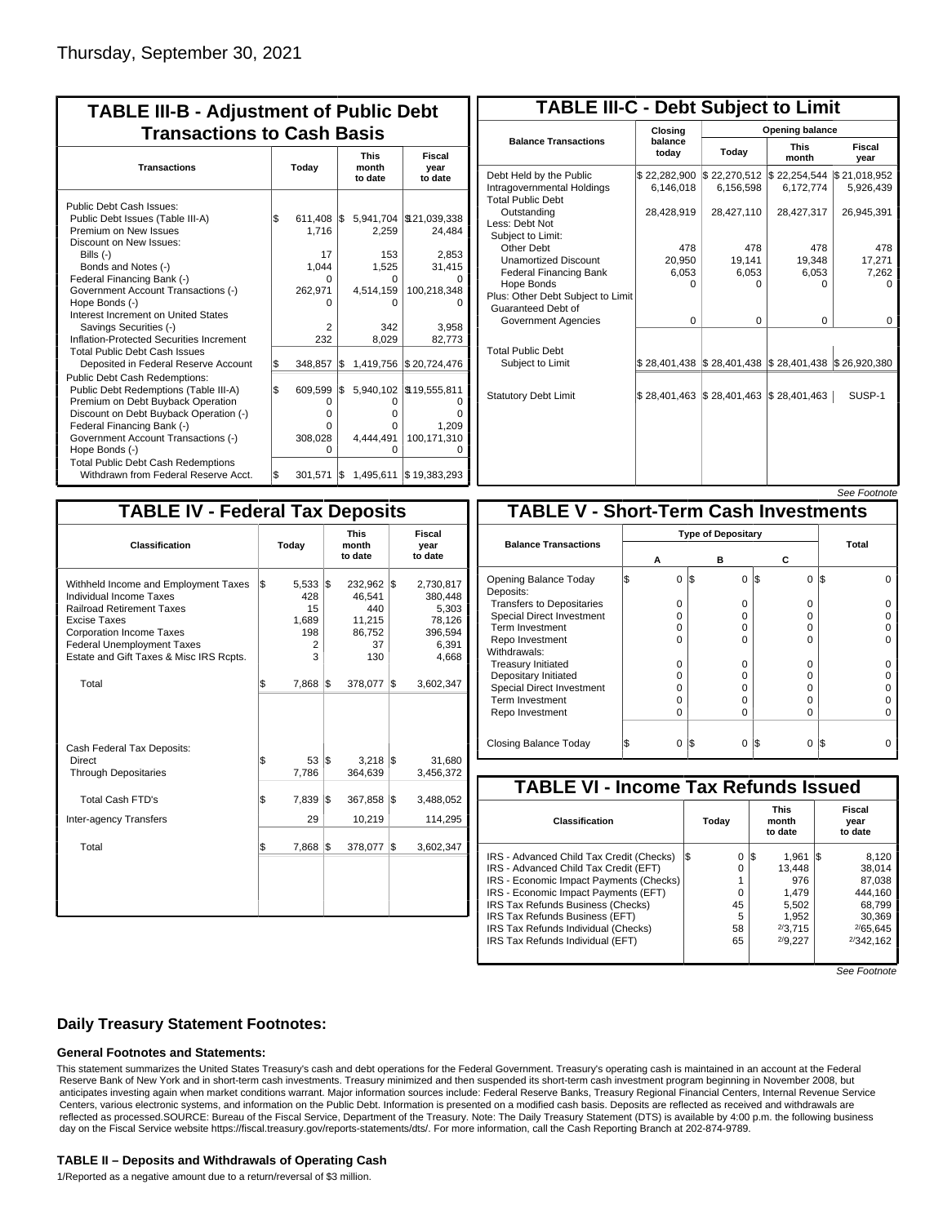| <b>TABLE III-B - Adjustment of Public Debt</b><br><b>Transactions to Cash Basis</b>                        |       |                       |     |                                 |                                   |  |  |  |
|------------------------------------------------------------------------------------------------------------|-------|-----------------------|-----|---------------------------------|-----------------------------------|--|--|--|
| <b>Transactions</b>                                                                                        | Today |                       |     | <b>This</b><br>month<br>to date | Fiscal<br>year<br>to date         |  |  |  |
| Public Debt Cash Issues:<br>Public Debt Issues (Table III-A)<br>Premium on New Issues                      | \$    | 611,408<br>1,716      | l\$ | 2,259                           | 5,941,704 \\$21,039,338<br>24,484 |  |  |  |
| Discount on New Issues:<br>Bills $(-)$                                                                     |       | 17                    |     | 153                             | 2,853                             |  |  |  |
| Bonds and Notes (-)<br>Federal Financing Bank (-)<br>Government Account Transactions (-)                   |       | 1.044<br>U<br>262,971 |     | 1,525<br>U<br>4.514.159         | 31,415<br>100,218,348             |  |  |  |
| Hope Bonds (-)<br>Interest Increment on United States                                                      |       | U                     |     | U                               |                                   |  |  |  |
| Savings Securities (-)<br>Inflation-Protected Securities Increment<br><b>Total Public Debt Cash Issues</b> |       | 2<br>232              |     | 342<br>8,029                    | 3.958<br>82,773                   |  |  |  |
| Deposited in Federal Reserve Account<br><b>Public Debt Cash Redemptions:</b>                               | \$    | 348,857               | l\$ | 1,419,756                       | \$20,724,476                      |  |  |  |
| Public Debt Redemptions (Table III-A)<br>Premium on Debt Buyback Operation                                 | l\$   | 609,599<br>0          | I\$ | 5,940,102<br>0                  | \$19,555,811                      |  |  |  |
| Discount on Debt Buyback Operation (-)<br>Federal Financing Bank (-)                                       |       | $\Omega$<br>O         |     | o<br>o                          | n<br>1,209                        |  |  |  |
| Government Account Transactions (-)<br>Hope Bonds (-)                                                      |       | 308,028<br>O          |     | 4.444.491<br>O                  | 100,171,310<br>Ω                  |  |  |  |
| <b>Total Public Debt Cash Redemptions</b><br>Withdrawn from Federal Reserve Acct.                          | l\$   | 301,571               | 1\$ |                                 | 1,495,611   \$19,383,293          |  |  |  |

| <b>TABLE III-C - Debt Subject to Limit</b>                                        |                           |                                                           |                           |                           |  |  |  |  |
|-----------------------------------------------------------------------------------|---------------------------|-----------------------------------------------------------|---------------------------|---------------------------|--|--|--|--|
|                                                                                   | Closing                   |                                                           | Opening balance           |                           |  |  |  |  |
| <b>Balance Transactions</b>                                                       | balance<br>todav          | Today                                                     | <b>This</b><br>month      | Fiscal<br>year            |  |  |  |  |
| Debt Held by the Public<br>Intragovernmental Holdings<br><b>Total Public Debt</b> | \$22,282,900<br>6.146.018 | \$22,270,512<br>6,156,598                                 | \$22,254,544<br>6.172.774 | \$21,018,952<br>5,926,439 |  |  |  |  |
| Outstanding<br>Less: Debt Not<br>Subject to Limit:                                | 28,428,919                | 28,427,110                                                | 28,427,317                | 26,945,391                |  |  |  |  |
| Other Debt                                                                        | 478                       | 478                                                       | 478                       | 478                       |  |  |  |  |
| <b>Unamortized Discount</b>                                                       | 20,950                    | 19,141                                                    | 19,348                    | 17,271                    |  |  |  |  |
| <b>Federal Financing Bank</b>                                                     | 6,053                     | 6,053                                                     | 6,053                     | 7,262                     |  |  |  |  |
| Hope Bonds                                                                        | O                         | O                                                         | o                         | o                         |  |  |  |  |
| Plus: Other Debt Subject to Limit<br>Guaranteed Debt of                           |                           |                                                           |                           |                           |  |  |  |  |
| Government Agencies                                                               | $\Omega$                  | $\Omega$                                                  | $\Omega$                  | 0                         |  |  |  |  |
| <b>Total Public Debt</b><br>Subject to Limit                                      |                           | \$28,401,438   \$28,401,438   \$28,401,438   \$26,920,380 |                           |                           |  |  |  |  |
|                                                                                   |                           |                                                           |                           |                           |  |  |  |  |
| <b>Statutory Debt Limit</b>                                                       |                           | \$28.401.463 \$28.401.463 \$28.401.463                    |                           | SUSP-1                    |  |  |  |  |
|                                                                                   |                           |                                                           |                           |                           |  |  |  |  |

See Footnote

| <b>TABLE IV - Federal Tax Deposits</b>                                                                                                                                                                                                        |    |                                              |     |                                                           |                           |                                                                      |  |  |  |
|-----------------------------------------------------------------------------------------------------------------------------------------------------------------------------------------------------------------------------------------------|----|----------------------------------------------|-----|-----------------------------------------------------------|---------------------------|----------------------------------------------------------------------|--|--|--|
| Classification                                                                                                                                                                                                                                |    | Today                                        |     | <b>This</b><br>month<br>to date                           | Fiscal<br>year<br>to date |                                                                      |  |  |  |
| Withheld Income and Employment Taxes<br>Individual Income Taxes<br><b>Railroad Retirement Taxes</b><br><b>Excise Taxes</b><br><b>Corporation Income Taxes</b><br><b>Federal Unemployment Taxes</b><br>Estate and Gift Taxes & Misc IRS Rcpts. | \$ | 5,533<br>428<br>15<br>1,689<br>198<br>2<br>3 | 1\$ | 232,962<br>46.541<br>440<br>11,215<br>86,752<br>37<br>130 | 1\$                       | 2,730,817<br>380,448<br>5,303<br>78,126<br>396,594<br>6,391<br>4,668 |  |  |  |
| Total                                                                                                                                                                                                                                         | \$ | 7,868                                        | l\$ | 378,077                                                   | l\$                       | 3,602,347                                                            |  |  |  |
| Cash Federal Tax Deposits:<br>Direct<br><b>Through Depositaries</b>                                                                                                                                                                           | \$ | 53<br>7,786                                  | 1\$ | 3,218<br>364,639                                          | 1\$                       | 31,680<br>3,456,372                                                  |  |  |  |
| <b>Total Cash FTD's</b>                                                                                                                                                                                                                       | \$ | 7,839                                        | 1\$ | 367,858                                                   | 1\$                       | 3,488,052                                                            |  |  |  |
| <b>Inter-agency Transfers</b>                                                                                                                                                                                                                 |    | 29                                           |     | 10,219                                                    |                           | 114,295                                                              |  |  |  |
| Total                                                                                                                                                                                                                                         | \$ | 7,868                                        | 1\$ | 378,077                                                   | 1\$                       | 3,602,347                                                            |  |  |  |
|                                                                                                                                                                                                                                               |    |                                              |     |                                                           |                           |                                                                      |  |  |  |

|                                              |          |                           |          |                | סטו וועט ו ספט |  |  |
|----------------------------------------------|----------|---------------------------|----------|----------------|----------------|--|--|
| <b>TABLE V - Short-Term Cash Investments</b> |          |                           |          |                |                |  |  |
|                                              |          | <b>Type of Depositary</b> |          |                |                |  |  |
| <b>Balance Transactions</b>                  | А        | в                         |          | С              | Total          |  |  |
|                                              |          |                           |          |                |                |  |  |
| Opening Balance Today<br>Deposits:           | 0        | 1\$                       | 0        | \$<br>$\Omega$ | I\$            |  |  |
| <b>Transfers to Depositaries</b>             | O        |                           | $\Omega$ | $\Omega$       |                |  |  |
| <b>Special Direct Investment</b>             | O        |                           | O        | 0              |                |  |  |
| <b>Term Investment</b>                       | O        |                           | O        | O              |                |  |  |
| Repo Investment                              | O        |                           | O        | O              |                |  |  |
| Withdrawals:                                 |          |                           |          |                |                |  |  |
| <b>Treasury Initiated</b>                    | 0        |                           | 0        | $\Omega$       |                |  |  |
| Depositary Initiated                         | Ω        |                           | O        | 0              |                |  |  |
| Special Direct Investment                    | Ω        |                           | Ω        | 0              |                |  |  |
| <b>Term Investment</b>                       | $\Omega$ |                           | O        | O              |                |  |  |
| Repo Investment                              | 0        |                           | 0        | $\Omega$       |                |  |  |
|                                              |          |                           |          |                |                |  |  |
| Closing Balance Today                        | 0        | l\$                       | 0        | S<br>$\Omega$  | I\$            |  |  |

| <b>TABLE VI - Income Tax Refunds Issued</b> |     |          |     |                                 |    |                                  |  |  |  |  |
|---------------------------------------------|-----|----------|-----|---------------------------------|----|----------------------------------|--|--|--|--|
| Classification                              |     | Today    |     | <b>This</b><br>month<br>to date |    | <b>Fiscal</b><br>year<br>to date |  |  |  |  |
| IRS - Advanced Child Tax Credit (Checks)    | l\$ | 0        | 1\$ | 1.961                           | 13 | 8.120                            |  |  |  |  |
| IRS - Advanced Child Tax Credit (EFT)       |     | 0        |     | 13.448                          |    | 38,014                           |  |  |  |  |
| IRS - Economic Impact Payments (Checks)     |     |          |     | 976                             |    | 87,038                           |  |  |  |  |
| IRS - Economic Impact Payments (EFT)        |     | $\Omega$ |     | 1.479                           |    | 444.160                          |  |  |  |  |
| IRS Tax Refunds Business (Checks)           |     | 45       |     | 5,502                           |    | 68.799                           |  |  |  |  |
| IRS Tax Refunds Business (EFT)              |     | 5        |     | 1,952                           |    | 30,369                           |  |  |  |  |
| IRS Tax Refunds Individual (Checks)         |     | 58       |     | 2/3.715                         |    | 2/65.645                         |  |  |  |  |
| IRS Tax Refunds Individual (EFT)            |     | 65       |     | 2/9.227                         |    | 2/342.162                        |  |  |  |  |
|                                             |     |          |     |                                 |    |                                  |  |  |  |  |

See Footnote

## **Daily Treasury Statement Footnotes:**

#### **General Footnotes and Statements:**

This statement summarizes the United States Treasury's cash and debt operations for the Federal Government. Treasury's operating cash is maintained in an account at the Federal Reserve Bank of New York and in short-term cash investments. Treasury minimized and then suspended its short-term cash investment program beginning in November 2008, but anticipates investing again when market conditions warrant. Major information sources include: Federal Reserve Banks, Treasury Regional Financial Centers, Internal Revenue Service Centers, various electronic systems, and information on the Public Debt. Information is presented on a modified cash basis. Deposits are reflected as received and withdrawals are reflected as processed.SOURCE: Bureau of the Fiscal Service, Department of the Treasury. Note: The Daily Treasury Statement (DTS) is available by 4:00 p.m. the following business day on the Fiscal Service website https://fiscal.treasury.gov/reports-statements/dts/. For more information, call the Cash Reporting Branch at 202-874-9789.

#### **TABLE II – Deposits and Withdrawals of Operating Cash**

1/Reported as a negative amount due to a return/reversal of \$3 million.